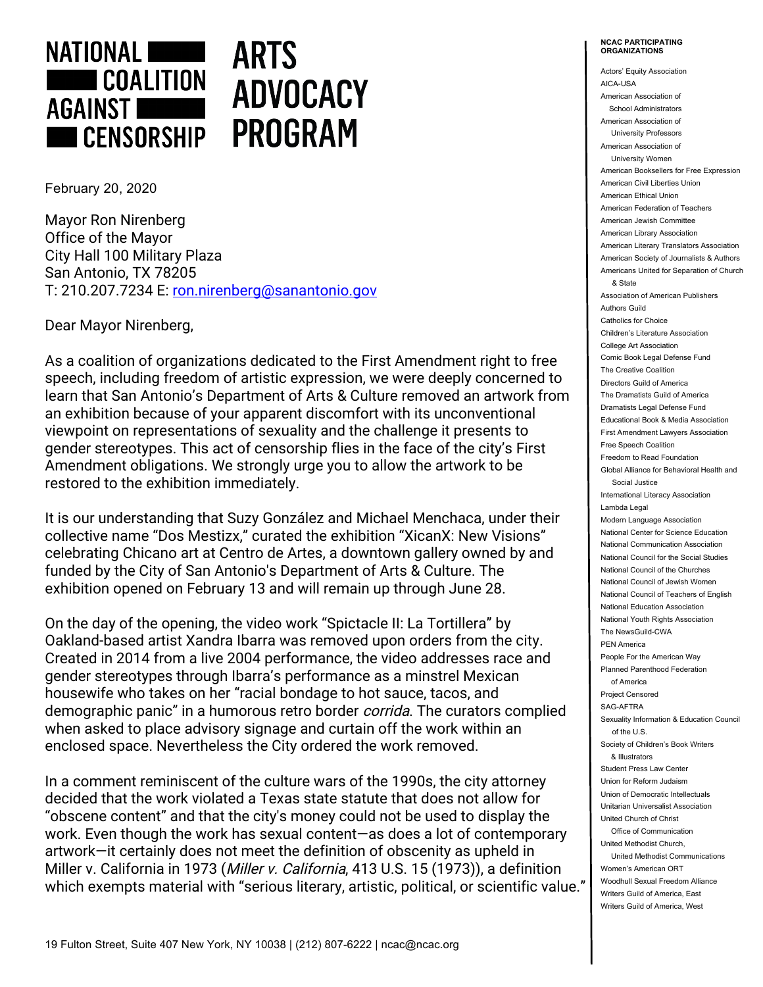

## **ARTS ADVOCACY PROGRAM**

February 20, 2020

Mayor Ron Nirenberg Office of the Mayor City Hall 100 Military Plaza San Antonio, TX 78205 T: 210.207.7234 E: ron.nirenberg@sanantonio.gov

Dear Mayor Nirenberg,

As a coalition of organizations dedicated to the First Amendment right to free speech, including freedom of artistic expression, we were deeply concerned to learn that San Antonio's Department of Arts & Culture removed an artwork from an exhibition because of your apparent discomfort with its unconventional viewpoint on representations of sexuality and the challenge it presents to gender stereotypes. This act of censorship flies in the face of the city's First Amendment obligations. We strongly urge you to allow the artwork to be restored to the exhibition immediately.

It is our understanding that Suzy González and Michael Menchaca, under their collective name "Dos Mestizx," curated the exhibition "XicanX: New Visions" celebrating Chicano art at Centro de Artes, a downtown gallery owned by and funded by the City of San Antonio's Department of Arts & Culture. The exhibition opened on February 13 and will remain up through June 28.

On the day of the opening, the video work "Spictacle II: La Tortillera" by Oakland-based artist Xandra Ibarra was removed upon orders from the city. Created in 2014 from a live 2004 performance, the video addresses race and gender stereotypes through Ibarra's performance as a minstrel Mexican housewife who takes on her "racial bondage to hot sauce, tacos, and demographic panic" in a humorous retro border *corrida*. The curators complied when asked to place advisory signage and curtain off the work within an enclosed space. Nevertheless the City ordered the work removed.

In a comment reminiscent of the culture wars of the 1990s, the city attorney decided that the work violated a Texas state statute that does not allow for "obscene content" and that the city's money could not be used to display the work. Even though the work has sexual content—as does a lot of contemporary artwork—it certainly does not meet the definition of obscenity as upheld in Miller v. California in 1973 (Miller v. California, 413 U.S. 15 (1973)), a definition which exempts material with "serious literary, artistic, political, or scientific value."

Actors' Equity Association AICA-USA American Association of School Administrators American Association of University Professors American Association of University Women American Booksellers for Free Expression American Civil Liberties Union American Ethical Union American Federation of Teachers American Jewish Committee American Library Association American Literary Translators Association American Society of Journalists & Authors Americans United for Separation of Church & State Association of American Publishers Authors Guild Catholics for Choice Children's Literature Association College Art Association Comic Book Legal Defense Fund The Creative Coalition Directors Guild of America The Dramatists Guild of America Dramatists Legal Defense Fund Educational Book & Media Association First Amendment Lawyers Association Free Speech Coalition Freedom to Read Foundation Global Alliance for Behavioral Health and Social Justice International Literacy Association Lambda Legal Modern Language Association National Center for Science Education National Communication Association National Council for the Social Studies National Council of the Churches National Council of Jewish Women National Council of Teachers of English National Education Association National Youth Rights Association The NewsGuild-CWA PEN America People For the American Way Planned Parenthood Federation of America Project Censored SAG-AFTRA Sexuality Information & Education Council of the U.S. Society of Children's Book Writers & Illustrators Student Press Law Center Union for Reform Judaism Union of Democratic Intellectuals Unitarian Universalist Association United Church of Christ Office of Communication United Methodist Church, United Methodist Communications Women's American ORT Woodhull Sexual Freedom Alliance Writers Guild of America, East Writers Guild of America, West

**NCAC PARTICIPATING ORGANIZATIONS**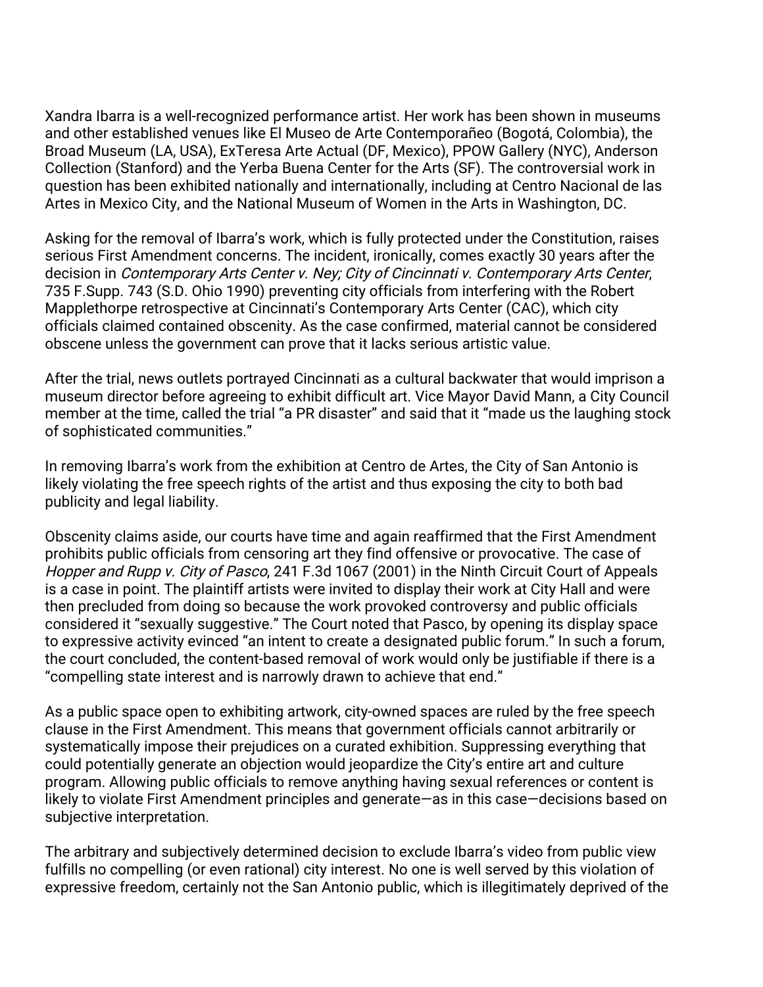Xandra Ibarra is a well-recognized performance artist. Her work has been shown in museums and other established venues like El Museo de Arte Contemporañeo (Bogotá, Colombia), the Broad Museum (LA, USA), ExTeresa Arte Actual (DF, Mexico), PPOW Gallery (NYC), Anderson Collection (Stanford) and the Yerba Buena Center for the Arts (SF). The controversial work in question has been exhibited nationally and internationally, including at Centro Nacional de las Artes in Mexico City, and the National Museum of Women in the Arts in Washington, DC.

Asking for the removal of Ibarra's work, which is fully protected under the Constitution, raises serious First Amendment concerns. The incident, ironically, comes exactly 30 years after the decision in Contemporary Arts Center v. Ney; City of Cincinnati v. Contemporary Arts Center, 735 F.Supp. 743 (S.D. Ohio 1990) preventing city officials from interfering with the Robert Mapplethorpe retrospective at Cincinnati's Contemporary Arts Center (CAC), which city officials claimed contained obscenity. As the case confirmed, material cannot be considered obscene unless the government can prove that it lacks serious artistic value.

After the trial, news outlets portrayed Cincinnati as a cultural backwater that would imprison a museum director before agreeing to exhibit difficult art. Vice Mayor David Mann, a City Council member at the time, called the trial "a PR disaster" and said that it "made us the laughing stock of sophisticated communities."

In removing Ibarra's work from the exhibition at Centro de Artes, the City of San Antonio is likely violating the free speech rights of the artist and thus exposing the city to both bad publicity and legal liability.

Obscenity claims aside, our courts have time and again reaffirmed that the First Amendment prohibits public officials from censoring art they find offensive or provocative. The case of Hopper and Rupp v. City of Pasco, 241 F.3d 1067 (2001) in the Ninth Circuit Court of Appeals is a case in point. The plaintiff artists were invited to display their work at City Hall and were then precluded from doing so because the work provoked controversy and public officials considered it "sexually suggestive." The Court noted that Pasco, by opening its display space to expressive activity evinced "an intent to create a designated public forum." In such a forum, the court concluded, the content-based removal of work would only be justifiable if there is a "compelling state interest and is narrowly drawn to achieve that end."

As a public space open to exhibiting artwork, city-owned spaces are ruled by the free speech clause in the First Amendment. This means that government officials cannot arbitrarily or systematically impose their prejudices on a curated exhibition. Suppressing everything that could potentially generate an objection would jeopardize the City's entire art and culture program. Allowing public officials to remove anything having sexual references or content is likely to violate First Amendment principles and generate—as in this case—decisions based on subjective interpretation.

The arbitrary and subjectively determined decision to exclude Ibarra's video from public view fulfills no compelling (or even rational) city interest. No one is well served by this violation of expressive freedom, certainly not the San Antonio public, which is illegitimately deprived of the